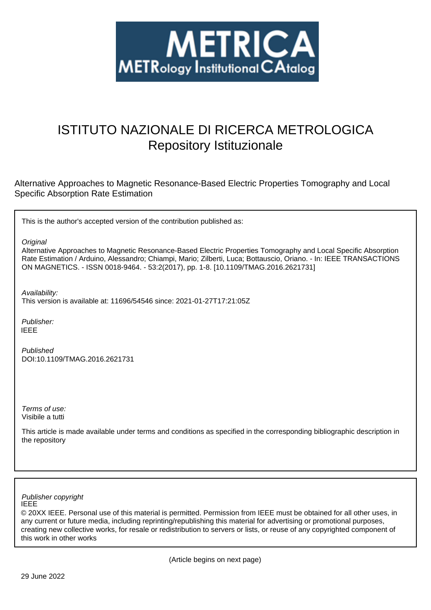

# ISTITUTO NAZIONALE DI RICERCA METROLOGICA Repository Istituzionale

Alternative Approaches to Magnetic Resonance-Based Electric Properties Tomography and Local Specific Absorption Rate Estimation

This is the author's accepted version of the contribution published as:

**Original** 

Alternative Approaches to Magnetic Resonance-Based Electric Properties Tomography and Local Specific Absorption Rate Estimation / Arduino, Alessandro; Chiampi, Mario; Zilberti, Luca; Bottauscio, Oriano. - In: IEEE TRANSACTIONS ON MAGNETICS. - ISSN 0018-9464. - 53:2(2017), pp. 1-8. [10.1109/TMAG.2016.2621731]

Availability:

This version is available at: 11696/54546 since: 2021-01-27T17:21:05Z

Publisher: IEEE

Published DOI:10.1109/TMAG.2016.2621731

Terms of use: Visibile a tutti

This article is made available under terms and conditions as specified in the corresponding bibliographic description in the repository

IEEE Publisher copyright

© 20XX IEEE. Personal use of this material is permitted. Permission from IEEE must be obtained for all other uses, in any current or future media, including reprinting/republishing this material for advertising or promotional purposes, creating new collective works, for resale or redistribution to servers or lists, or reuse of any copyrighted component of this work in other works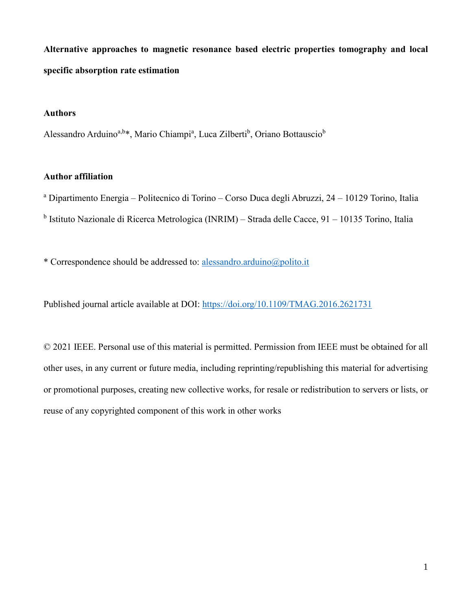**Alternative approaches to magnetic resonance based electric properties tomography and local specific absorption rate estimation**

# **Authors**

Alessandro Arduino<sup>a,b\*</sup>, Mario Chiampi<sup>a</sup>, Luca Zilberti<sup>b</sup>, Oriano Bottauscio<sup>b</sup>

# **Author affiliation**

<sup>a</sup> Dipartimento Energia – Politecnico di Torino – Corso Duca degli Abruzzi, 24 – 10129 Torino, Italia <sup>b</sup> Istituto Nazionale di Ricerca Metrologica (INRIM) – Strada delle Cacce, 91 – 10135 Torino, Italia

\* Correspondence should be addressed to: alessandro.arduino@polito.it

Published journal article available at DOI: https://doi.org/10.1109/TMAG.2016.2621731

© 2021 IEEE. Personal use of this material is permitted. Permission from IEEE must be obtained for all other uses, in any current or future media, including reprinting/republishing this material for advertising or promotional purposes, creating new collective works, for resale or redistribution to servers or lists, or reuse of any copyrighted component of this work in other works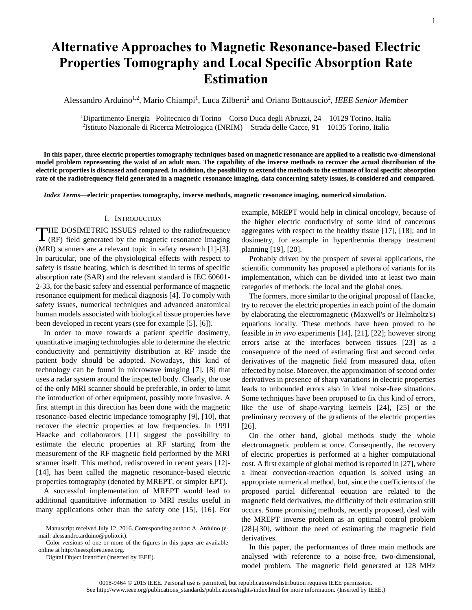# **Alternative Approaches to Magnetic Resonance-based Electric Properties Tomography and Local Specific Absorption Rate Estimation**

Alessandro Arduino<sup>1,2</sup>, Mario Chiampi<sup>1</sup>, Luca Zilberti<sup>2</sup> and Oriano Bottauscio<sup>2</sup>, *IEEE Senior Member* 

<sup>1</sup>Dipartimento Energia –Politecnico di Torino – Corso Duca degli Abruzzi, 24 – 10129 Torino, Italia 2 Istituto Nazionale di Ricerca Metrologica (INRIM) – Strada delle Cacce, 91 – 10135 Torino, Italia

**In this paper, three electric properties tomography techniques based on magnetic resonance are applied to a realistic two-dimensional**  model problem representing the waist of an adult man. The capability of the inverse methods to recover the actual distribution of the **electric properties is discussed and compared. In addition, the possibility to extend the methods to the estimate of local specific absorption rate of the radiofrequency field generated in a magnetic resonance imaging, data concerning safety issues, is considered and compared.**

*Index Terms***—electric properties tomography, inverse methods, magnetic resonance imaging, numerical simulation.** 

#### I. INTRODUCTION

THE DOSIMETRIC ISSUES related to the radiofrequency THE DOSIMETRIC ISSUES related to the radiofrequency (RF) field generated by the magnetic resonance imaging (MRI) scanners are a relevant topic in safety research [1]-[3]. In particular, one of the physiological effects with respect to safety is tissue heating, which is described in terms of specific absorption rate (SAR) and the relevant standard is IEC 60601- 2-33, for the basic safety and essential performance of magnetic resonance equipment for medical diagnosis [4]. To comply with safety issues, numerical techniques and advanced anatomical human models associated with biological tissue properties have been developed in recent years (see for example [5], [6]).

In order to move towards a patient specific dosimetry, quantitative imaging technologies able to determine the electric conductivity and permittivity distribution at RF inside the patient body should be adopted. Nowadays, this kind of technology can be found in microwave imaging [7], [8] that uses a radar system around the inspected body. Clearly, the use of the only MRI scanner should be preferable, in order to limit the introduction of other equipment, possibly more invasive. A first attempt in this direction has been done with the magnetic resonance-based electric impedance tomography [9], [10], that recover the electric properties at low frequencies. In 1991 Haacke and collaborators [11] suggest the possibility to estimate the electric properties at RF starting from the measurement of the RF magnetic field performed by the MRI scanner itself. This method, rediscovered in recent years [12]- [14], has been called the magnetic resonance-based electric properties tomography (denoted by MREPT, or simpler EPT).

A successful implementation of MREPT would lead to additional quantitative information to MRI results useful in many applications other than the safety one [15], [16]. For

Digital Object Identifier (inserted by IEEE).

example, MREPT would help in clinical oncology, because of the higher electric conductivity of some kind of cancerous aggregates with respect to the healthy tissue [17], [18]; and in dosimetry, for example in hyperthermia therapy treatment planning [19], [20].

Probably driven by the prospect of several applications, the scientific community has proposed a plethora of variants for its implementation, which can be divided into at least two main categories of methods: the local and the global ones.

The formers, more similar to the original proposal of Haacke, try to recover the electric properties in each point of the domain by elaborating the electromagnetic (Maxwell's or Helmholtz's) equations locally. These methods have been proved to be feasible in *in vivo* experiments [14], [21], [22]; however strong errors arise at the interfaces between tissues [23] as a consequence of the need of estimating first and second order derivatives of the magnetic field from measured data, often affected by noise. Moreover, the approximation of second order derivatives in presence of sharp variations in electric properties leads to unbounded errors also in ideal noise-free situations. Some techniques have been proposed to fix this kind of errors, like the use of shape-varying kernels [24], [25] or the preliminary recovery of the gradients of the electric properties [26].

On the other hand, global methods study the whole electromagnetic problem at once. Consequently, the recovery of electric properties is performed at a higher computational cost. A first example of global method is reported in [27], where a linear convection-reaction equation is solved using an appropriate numerical method, but, since the coefficients of the proposed partial differential equation are related to the magnetic field derivatives, the difficulty of their estimation still occurs. Some promising methods, recently proposed, deal with the MREPT inverse problem as an optimal control problem [28]-[30], without the need of estimating the magnetic field derivatives.

In this paper, the performances of three main methods are analysed with reference to a noise-free, two-dimensional, model problem. The magnetic field generated at 128 MHz

Manuscript received July 12, 2016. Corresponding author: A. Arduino (email: alessandro.arduino@polito.it).

Color versions of one or more of the figures in this paper are available online at http://ieeexplore.ieee.org.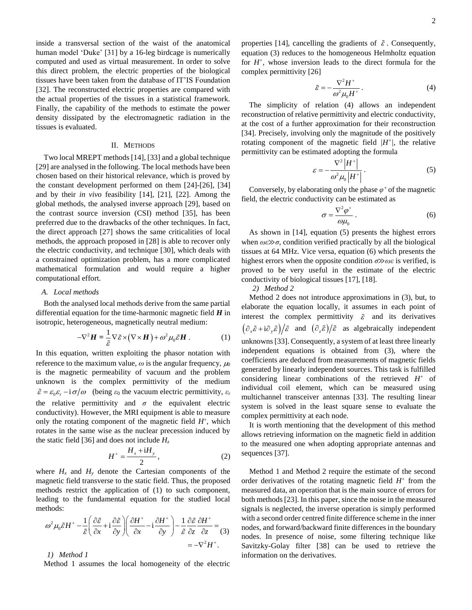inside a transversal section of the waist of the anatomical human model 'Duke' [31] by a 16-leg birdcage is numerically computed and used as virtual measurement. In order to solve this direct problem, the electric properties of the biological tissues have been taken from the database of IT'IS Foundation [32]. The reconstructed electric properties are compared with the actual properties of the tissues in a statistical framework. Finally, the capability of the methods to estimate the power density dissipated by the electromagnetic radiation in the tissues is evaluated.

## II. METHODS

Two local MREPT methods [14], [33] and a global technique [29] are analysed in the following. The local methods have been chosen based on their historical relevance, which is proved by the constant development performed on them [24]-[26], [34] and by their *in vivo* feasibility [14], [21], [22]. Among the global methods, the analysed inverse approach [29], based on the contrast source inversion (CSI) method [35], has been preferred due to the drawbacks of the other techniques. In fact, the direct approach [27] shows the same criticalities of local methods, the approach proposed in [28] is able to recover only the electric conductivity, and technique [30], which deals with a constrained optimization problem, has a more complicated mathematical formulation and would require a higher computational effort.

#### *A. Local methods*

Both the analysed local methods derive from the same partial differential equation for the time-harmonic magnetic field *H* in isotropic, heterogeneous, magnetically neutral medium:

$$
-\nabla^2 \boldsymbol{H} = \frac{1}{\tilde{\varepsilon}} \nabla \tilde{\varepsilon} \times (\nabla \times \boldsymbol{H}) + \omega^2 \mu_0 \tilde{\varepsilon} \boldsymbol{H} . \tag{1}
$$

In this equation, written exploiting the phasor notation with reference to the maximum value,  $\omega$  is the angular frequency,  $\mu_0$ is the magnetic permeability of vacuum and the problem unknown is the complex permittivity of the medium  $\tilde{\varepsilon} = \varepsilon_0 \varepsilon_{\rm r} - i \sigma / \omega$  (being  $\varepsilon_0$  the vacuum electric permittivity,  $\varepsilon_{\rm r}$ the relative permittivity and  $\sigma$  the equivalent electric conductivity). However, the MRI equipment is able to measure only the rotating component of the magnetic field  $H^+$ , which rotates in the same wise as the nuclear precession induced by the static field [36] and does not include  $H<sub>z</sub>$ 

$$
H^+ = \frac{H_x + \mathrm{i}H_y}{2},\tag{2}
$$

where  $H_x$  and  $H_y$  denote the Cartesian components of the magnetic field transverse to the static field. Thus, the proposed methods restrict the application of (1) to such component, leading to the fundamental equation for the studied local methods:

thods:

\n
$$
\omega^{2} \mu_{0} \tilde{\varepsilon} H^{+} - \frac{1}{\tilde{\varepsilon}} \left( \frac{\partial \tilde{\varepsilon}}{\partial x} + i \frac{\partial \tilde{\varepsilon}}{\partial y} \right) \left( \frac{\partial H^{+}}{\partial x} - i \frac{\partial H^{+}}{\partial y} \right) - \frac{1}{\tilde{\varepsilon}} \frac{\partial \tilde{\varepsilon}}{\partial z} \frac{\partial H^{+}}{\partial z} = (3) = -\nabla^{2} H^{+}.
$$

*1) Method 1*

Method 1 assumes the local homogeneity of the electric

properties [14], cancelling the gradients of  $\tilde{\varepsilon}$ . Consequently, equation (3) reduces to the homogeneous Helmholtz equation for *H<sup>+</sup>* , whose inversion leads to the direct formula for the complex permittivity [26]

$$
\tilde{\varepsilon} = -\frac{\nabla^2 H^+}{\omega^2 \mu_0 H^+} \,. \tag{4}
$$

The simplicity of relation (4) allows an independent reconstruction of relative permittivity and electric conductivity, at the cost of a further approximation for their reconstruction [34]. Precisely, involving only the magnitude of the positively rotating component of the magnetic field  $/H^+$ , the relative permittivity can be estimated adopting the formula

$$
\varepsilon = -\frac{\nabla^2 |H^+|}{\omega^2 \mu_0 |H^+|} \,. \tag{5}
$$

Conversely, by elaborating only the phase  $\varphi^+$  of the magnetic field, the electric conductivity can be estimated as

$$
\sigma = \frac{\nabla^2 \varphi^+}{\omega \mu_0} \,. \tag{6}
$$

As shown in [14], equation (5) presents the highest errors when  $\omega \varepsilon \gg \sigma$ , condition verified practically by all the biological tissues at 64 MHz. Vice versa, equation (6) which presents the highest errors when the opposite condition *σ*≫*ωε* is verified, is proved to be very useful in the estimate of the electric conductivity of biological tissues [17], [18].

*2) Method 2*

Method 2 does not introduce approximations in (3), but, to elaborate the equation locally, it assumes in each point of interest the complex permittivity  $\tilde{\varepsilon}$  and its derivatives  $\left(\partial_x \tilde{\varepsilon} + i \partial_y \tilde{\varepsilon}\right)/\tilde{\varepsilon}$  and  $\left(\partial_z \tilde{\varepsilon}\right)/\tilde{\varepsilon}$  as algebraically independent unknowns [33]. Consequently, a system of at least three linearly independent equations is obtained from (3), where the coefficients are deduced from measurements of magnetic fields generated by linearly independent sources. This task is fulfilled considering linear combinations of the retrieved *H<sup>+</sup>* of individual coil element, which can be measured using multichannel transceiver antennas [33]. The resulting linear system is solved in the least square sense to evaluate the complex permittivity at each node.

It is worth mentioning that the development of this method allows retrieving information on the magnetic field in addition to the measured one when adopting appropriate antennas and sequences [37].

Method 1 and Method 2 require the estimate of the second order derivatives of the rotating magnetic field  $H^+$  from the measured data, an operation that is the main source of errors for both methods [23]. In this paper, since the noise in the measured signals is neglected, the inverse operation is simply performed with a second order centred finite difference scheme in the inner nodes, and forward/backward finite differences in the boundary nodes. In presence of noise, some filtering technique like Savitzky-Golay filter [38] can be used to retrieve the information on the derivatives.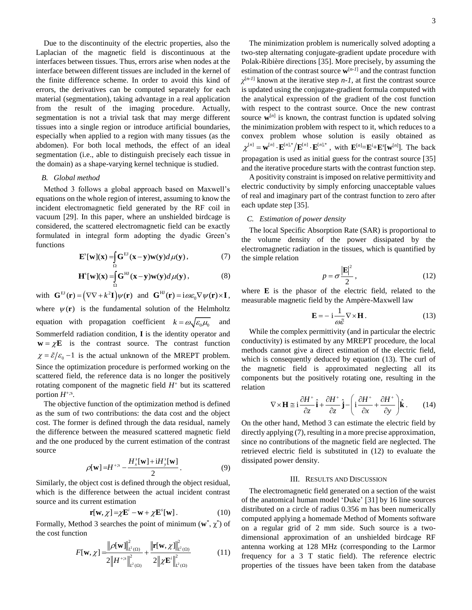Due to the discontinuity of the electric properties, also the Laplacian of the magnetic field is discontinuous at the interfaces between tissues. Thus, errors arise when nodes at the interface between different tissues are included in the kernel of the finite difference scheme. In order to avoid this kind of errors, the derivatives can be computed separately for each material (segmentation), taking advantage in a real application from the result of the imaging procedure. Actually, segmentation is not a trivial task that may merge different tissues into a single region or introduce artificial boundaries, especially when applied to a region with many tissues (as the abdomen). For both local methods, the effect of an ideal segmentation (i.e., able to distinguish precisely each tissue in the domain) as a shape-varying kernel technique is studied.

### *B. Global method*

Method 3 follows a global approach based on Maxwell's equations on the whole region of interest, assuming to know the incident electromagnetic field generated by the RF coil in vacuum [29]. In this paper, where an unshielded birdcage is considered, the scattered electromagnetic field can be exactly formulated in integral form adopting the dyadic Green's functions

$$
\mathbf{E}^s[\mathbf{w}](\mathbf{x}) = \int_{\Omega} \mathbf{G}^{EJ}(\mathbf{x} - \mathbf{y}) \mathbf{w}(\mathbf{y}) d\mu(\mathbf{y}), \tag{7}
$$

$$
\mathbf{H}^s[\mathbf{w}](\mathbf{x}) = \int_{\Omega} \mathbf{G}^{HJ}(\mathbf{x} - \mathbf{y}) \mathbf{w}(\mathbf{y}) d\mu(\mathbf{y}), \tag{8}
$$

with  $\mathbf{G}^{\text{EJ}}(\mathbf{r}) = (\nabla \nabla + k^2 \mathbf{I}) \psi(\mathbf{r})$  and  $\mathbf{G}^{\text{HJ}}(\mathbf{r}) = i \omega \varepsilon_0 \nabla \psi(\mathbf{r}) \times \mathbf{I}$ , where  $\psi(\mathbf{r})$  is the fundamental solution of the Helmholtz equation with propagation coefficient  $k = \omega \sqrt{\varepsilon_0 \mu_0}$ and Sommerfeld radiation condition, **I** is the identity operator and  $\mathbf{w} = \chi \mathbf{E}$  is the contrast source. The contrast function  $\chi = \tilde{\varepsilon}/\varepsilon_0 - 1$  is the actual unknown of the MREPT problem. Since the optimization procedure is performed working on the scattered field, the reference data is no longer the positively rotating component of the magnetic field  $H^+$  but its scattered portion *H+;*<sup>s</sup> .

The objective function of the optimization method is defined as the sum of two contributions: the data cost and the object cost. The former is defined through the data residual, namely the difference between the measured scattered magnetic field and the one produced by the current estimation of the contrast source

$$
\rho[\mathbf{w}] = H^{+s} - \frac{H_x^s[\mathbf{w}] + iH_y^s[\mathbf{w}]}{2}.
$$
 (9)

Similarly, the object cost is defined through the object residual, which is the difference between the actual incident contrast source and its current estimation

$$
\mathbf{r}[\mathbf{w}, \chi] = \chi \mathbf{E}^i - \mathbf{w} + \chi \mathbf{E}^s[\mathbf{w}]. \tag{10}
$$

Formally, Method 3 searches the point of minimum  $(\mathbf{w}^*, \chi^*)$  of the cost function

$$
F[\mathbf{w}, \chi] = \frac{\|\rho[\mathbf{w}]\|_{L^2(\Omega)}^2}{2\|H^{+s}\|_{L^2(\Omega)}^2} + \frac{\|\mathbf{r}[\mathbf{w}, \chi]\|_{L^2(\Omega)}^2}{2\|\chi \mathbf{E}^i\|_{L^2(\Omega)}^2}
$$
(11)

The minimization problem is numerically solved adopting a two-step alternating conjugate-gradient update procedure with Polak-Ribière directions [35]. More precisely, by assuming the estimation of the contrast source  $\mathbf{w}^{[n-1]}$  and the contrast function  $\chi^{[n-1]}$  known at the iterative step *n-1*, at first the contrast source is updated using the conjugate-gradient formula computed with the analytical expression of the gradient of the cost function with respect to the contrast source. Once the new contrast source  $\mathbf{w}^{[n]}$  is known, the contrast function is updated solving the minimization problem with respect to it, which reduces to a convex problem whose solution is easily obtained as  $\chi^{[n]} = \mathbf{w}^{[n]} \cdot \mathbf{E}^{[n]*} / \mathbf{E}^{[n]} \cdot \mathbf{E}^{[n]*}$ , with  $\mathbf{E}^{[n]} = \mathbf{E}^i + \mathbf{E}^s[\mathbf{w}^{[n]}]$ . The back propagation is used as initial guess for the contrast source [35] and the iterative procedure starts with the contrast function step.

A positivity constraint is imposed on relative permittivity and electric conductivity by simply enforcing unacceptable values of real and imaginary part of the contrast function to zero after each update step [35].

## *C. Estimation of power density*

The local Specific Absorption Rate (SAR) is proportional to the volume density of the power dissipated by the electromagnetic radiation in the tissues, which is quantified by the simple relation

$$
p = \sigma \frac{|\mathbf{E}|^2}{2},\tag{12}
$$

where **E** is the phasor of the electric field, related to the measurable magnetic field by the Ampère-Maxwell law

$$
\mathbf{E} = -\mathbf{i}\frac{1}{\omega\tilde{\epsilon}}\nabla \times \mathbf{H}.
$$
 (13)

While the complex permittivity (and in particular the electric conductivity) is estimated by any MREPT procedure, the local methods cannot give a direct estimation of the electric field, which is consequently deduced by equation (13). The curl of the magnetic field is approximated neglecting all its components but the positively rotating one, resulting in the relation

$$
\nabla \times \mathbf{H} \cong \mathbf{i} \frac{\partial H^+}{\partial z} \hat{\mathbf{i}} + \frac{\partial H^+}{\partial z} \hat{\mathbf{j}} - \left( \mathbf{i} \frac{\partial H^+}{\partial x} + \frac{\partial H^+}{\partial y} \right) \hat{\mathbf{k}}.
$$
 (14)

On the other hand, Method 3 can estimate the electric field by directly applying (7), resulting in a more precise approximation, since no contributions of the magnetic field are neglected. The retrieved electric field is substituted in (12) to evaluate the dissipated power density.

# III. RESULTS AND DISCUSSION

The electromagnetic field generated on a section of the waist of the anatomical human model 'Duke' [31] by 16 line sources distributed on a circle of radius 0.356 m has been numerically computed applying a homemade Method of Moments software on a regular grid of 2 mm side. Such source is a twodimensional approximation of an unshielded birdcage RF antenna working at 128 MHz (corresponding to the Larmor frequency for a 3 T static field). The reference electric properties of the tissues have been taken from the database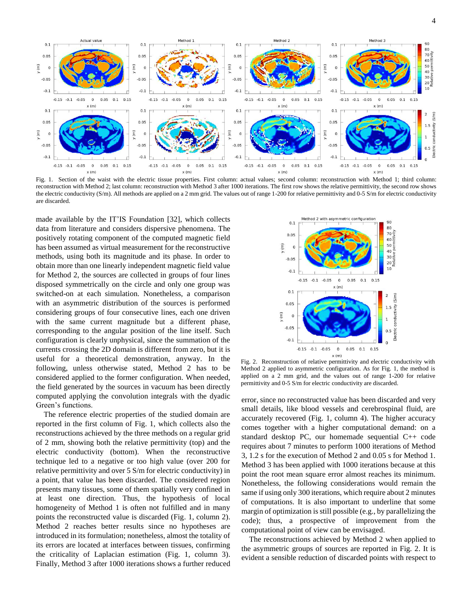

Fig. 1. Section of the waist with the electric tissue properties. First column: actual values; second column: reconstruction with Method 1; third column: reconstruction with Method 2; last column: reconstruction with Method 3 after 1000 iterations. The first row shows the relative permittivity, the second row shows the electric conductivity (S/m). All methods are applied on a 2 mm grid. The values out of range 1-200 for relative permittivity and 0-5 S/m for electric conductivity are discarded.

made available by the IT'IS Foundation [32], which collects data from literature and considers dispersive phenomena. The positively rotating component of the computed magnetic field has been assumed as virtual measurement for the reconstructive methods, using both its magnitude and its phase. In order to obtain more than one linearly independent magnetic field value for Method 2, the sources are collected in groups of four lines disposed symmetrically on the circle and only one group was switched-on at each simulation. Nonetheless, a comparison with an asymmetric distribution of the sources is performed considering groups of four consecutive lines, each one driven with the same current magnitude but a different phase, corresponding to the angular position of the line itself. Such configuration is clearly unphysical, since the summation of the currents crossing the 2D domain is different from zero, but it is useful for a theoretical demonstration, anyway. In the following, unless otherwise stated, Method 2 has to be considered applied to the former configuration. When needed, the field generated by the sources in vacuum has been directly computed applying the convolution integrals with the dyadic Green's functions.

The reference electric properties of the studied domain are reported in the first column of Fig. 1, which collects also the reconstructions achieved by the three methods on a regular grid of 2 mm, showing both the relative permittivity (top) and the electric conductivity (bottom). When the reconstructive technique led to a negative or too high value (over 200 for relative permittivity and over 5 S/m for electric conductivity) in a point, that value has been discarded. The considered region presents many tissues, some of them spatially very confined in at least one direction. Thus, the hypothesis of local homogeneity of Method 1 is often not fulfilled and in many points the reconstructed value is discarded (Fig. 1, column 2). Method 2 reaches better results since no hypotheses are introduced in its formulation; nonetheless, almost the totality of its errors are located at interfaces between tissues, confirming the criticality of Laplacian estimation (Fig. 1, column 3). Finally, Method 3 after 1000 iterations shows a further reduced



Fig. 2. Reconstruction of relative permittivity and electric conductivity with Method 2 applied to asymmetric configuration. As for Fig. 1, the method is applied on a 2 mm grid, and the values out of range 1-200 for relative permittivity and 0-5 S/m for electric conductivity are discarded.

error, since no reconstructed value has been discarded and very small details, like blood vessels and cerebrospinal fluid, are accurately recovered (Fig. 1, column 4). The higher accuracy comes together with a higher computational demand: on a standard desktop PC, our homemade sequential C++ code requires about 7 minutes to perform 1000 iterations of Method 3, 1.2 s for the execution of Method 2 and 0.05 s for Method 1. Method 3 has been applied with 1000 iterations because at this point the root mean square error almost reaches its minimum. Nonetheless, the following considerations would remain the same if using only 300 iterations, which require about 2 minutes of computations. It is also important to underline that some margin of optimization is still possible (e.g., by parallelizing the code); thus, a prospective of improvement from the computational point of view can be envisaged.

The reconstructions achieved by Method 2 when applied to the asymmetric groups of sources are reported in Fig. 2. It is evident a sensible reduction of discarded points with respect to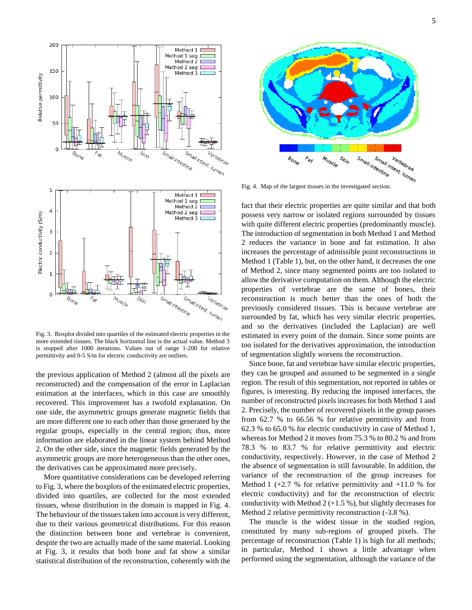

Fig. 3. Boxplot divided into quartiles of the estimated electric properties in the more extended tissues. The black horizontal line is the actual value. Method 3 is stopped after 1000 iterations. Values out of range 1-200 for relative permittivity and 0-5 S/m for electric conductivity are outliers.

the previous application of Method 2 (almost all the pixels are reconstructed) and the compensation of the error in Laplacian estimation at the interfaces, which in this case are smoothly recovered. This improvement has a twofold explanation. On one side, the asymmetric groups generate magnetic fields that are more different one to each other than those generated by the regular groups, especially in the central region; thus, more information are elaborated in the linear system behind Method 2. On the other side, since the magnetic fields generated by the asymmetric groups are more heterogeneous than the other ones, the derivatives can be approximated more precisely.

More quantitative considerations can be developed referring to Fig. 3, where the boxplots of the estimated electric properties, divided into quartiles, are collected for the most extended tissues, whose distribution in the domain is mapped in Fig. 4. The behaviour of the tissues taken into account is very different, due to their various geometrical distributions. For this reason the distinction between bone and vertebrae is convenient, despite the two are actually made of the same material. Looking at Fig. 3, it results that both bone and fat show a similar statistical distribution of the reconstruction, coherently with the



fact that their electric properties are quite similar and that both possess very narrow or isolated regions surrounded by tissues with quite different electric properties (predominantly muscle). The introduction of segmentation in both Method 1 and Method 2 reduces the variance in bone and fat estimation. It also increases the percentage of admissible point reconstructions in Method 1 (Table 1), but, on the other hand, it decreases the one of Method 2, since many segmented points are too isolated to allow the derivative computation on them. Although the electric properties of vertebrae are the same of bones, their reconstruction is much better than the ones of both the previously considered tissues. This is because vertebrae are surrounded by fat, which has very similar electric properties, and so the derivatives (included the Laplacian) are well estimated in every point of the domain. Since some points are too isolated for the derivatives approximation, the introduction of segmentation slightly worsens the reconstruction.

Since bone, fat and vertebrae have similar electric properties, they can be grouped and assumed to be segmented in a single region. The result of this segmentation, not reported in tables or figures, is interesting. By reducing the imposed interfaces, the number of reconstructed pixels increases for both Method 1 and 2. Precisely, the number of recovered pixels in the group passes from 62.7 % to 66.56 % for relative permittivity and from 62.3 % to 65.0 % for electric conductivity in case of Method 1, whereas for Method 2 it moves from 75.3 % to 80.2 % and from 78.3 % to 83.7 % for relative permittivity and electric conductivity, respectively. However, in the case of Method 2 the absence of segmentation is still favourable. In addition, the variance of the reconstruction of the group increases for Method 1  $(+2.7 %$  for relative permittivity and  $+11.0 %$  for electric conductivity) and for the reconstruction of electric conductivity with Method 2  $(+1.5\%)$ , but slightly decreases for Method 2 relative permittivity reconstruction (-3.8 %).

The muscle is the widest tissue in the studied region, constituted by many sub-regions of grouped pixels. The percentage of reconstruction (Table 1) is high for all methods; in particular, Method 1 shows a little advantage when performed using the segmentation, although the variance of the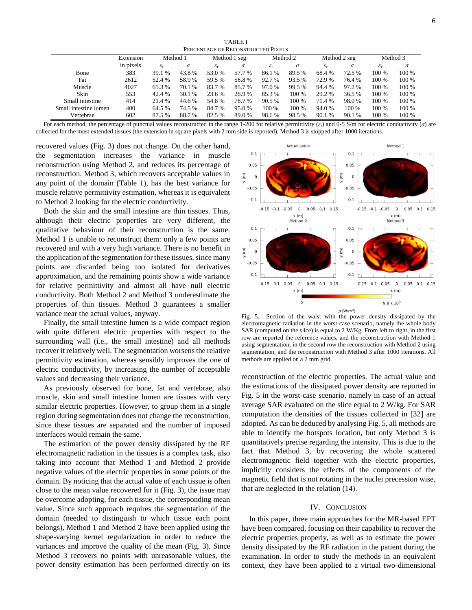TABLE I PERCENTAGE OF RECONSTRUCTED PIXELS

|                       | Extension | Method 1                        |          | Method 1 seg          |          | Method 2              |          | Method 2 seg          |          | Method 3              |          |
|-----------------------|-----------|---------------------------------|----------|-----------------------|----------|-----------------------|----------|-----------------------|----------|-----------------------|----------|
|                       | in pixels | $\varepsilon_{\text{\tiny{r}}}$ | $\sigma$ | $\varepsilon_{\rm r}$ | $\sigma$ | $\varepsilon_{\rm r}$ | $\sigma$ | $\varepsilon_{\rm r}$ | $\sigma$ | $\varepsilon_{\rm r}$ | $\sigma$ |
| Bone                  | 383       | 39.1 %                          | 43.8%    | 53.0 %                | 57.7 %   | 86.1 %                | 89.5 %   | 68.4 %                | 72.5 %   | 100 %                 | 100 %    |
| Fat                   | 2612      | 52.4 %                          | 58.9%    | 59.5 %                | 56.8%    | 92.7 %                | 93.5 %   | 72.9 %                | 76.4%    | 100 %                 | 100 %    |
| Muscle                | 4027      | 65.3%                           | 70.1 %   | 83.7 %                | 85.7 %   | 97.0 %                | 99.5 %   | 94.4 %                | 97.2 %   | 100 %                 | 100 %    |
| Skin                  | 553       | 42.4 %                          | 30.1 %   | 23.6 %                | 26.9%    | 85.3 %                | 100 %    | 29.2 %                | 36.5 %   | 100 %                 | 100 %    |
| Small intestine       | 414       | 21.4 %                          | 44.6 %   | 54.8%                 | 78.7 %   | 90.5 %                | 100 %    | 71.4 %                | 98.0 %   | 100 %                 | 100 %    |
| Small intestine lumen | 400       | 64.5 %                          | 74.5 %   | 84.7 %                | 95.0%    | $100\%$               | 100 %    | 94.0 %                | 100 %    | 100 %                 | 100 %    |
| Vertebrae             | 602       | 87.5 %                          | 88.7 %   | 82.5 %                | 89.0%    | 98.6 %                | 98.5 %   | 90.1 %                | 90.1 %   | 100 %                 | 100 %    |

For each method, the percentage of punctual values reconstructed in the range 1-200 for relative permittivity  $(\varepsilon_r)$  and 0-5 S/m for electric conductivity  $(\sigma)$  are collected for the most extended tissues (the extension in square pixels with 2 mm side is reported). Method 3 is stopped after 1000 iterations.

recovered values (Fig. 3) does not change. On the other hand, the segmentation increases the variance in muscle reconstruction using Method 2, and reduces its percentage of reconstruction. Method 3, which recovers acceptable values in any point of the domain (Table 1), has the best variance for muscle relative permittivity estimation, whereas it is equivalent to Method 2 looking for the electric conductivity.

Both the skin and the small intestine are thin tissues. Thus, although their electric properties are very different, the qualitative behaviour of their reconstruction is the same. Method 1 is unable to reconstruct them: only a few points are recovered and with a very high variance. There is no benefit in the application of the segmentation for these tissues, since many points are discarded being too isolated for derivatives approximation, and the remaining points show a wide variance for relative permittivity and almost all have null electric conductivity. Both Method 2 and Method 3 underestimate the properties of thin tissues. Method 3 guarantees a smaller variance near the actual values, anyway.

Finally, the small intestine lumen is a wide compact region with quite different electric properties with respect to the surrounding wall (i.e., the small intestine) and all methods recover it relatively well. The segmentation worsens the relative permittivity estimation, whereas sensibly improves the one of electric conductivity, by increasing the number of acceptable values and decreasing their variance.

As previously observed for bone, fat and vertebrae, also muscle, skin and small intestine lumen are tissues with very similar electric properties. However, to group them in a single region during segmentation does not change the reconstruction, since these tissues are separated and the number of imposed interfaces would remain the same.

The estimation of the power density dissipated by the RF electromagnetic radiation in the tissues is a complex task, also taking into account that Method 1 and Method 2 provide negative values of the electric properties in some points of the domain. By noticing that the actual value of each tissue is often close to the mean value recovered for it (Fig. 3), the issue may be overcome adopting, for each tissue, the corresponding mean value. Since such approach requires the segmentation of the domain (needed to distinguish to which tissue each point belongs), Method 1 and Method 2 have been applied using the shape-varying kernel regularization in order to reduce the variances and improve the quality of the mean (Fig. 3). Since Method 3 recovers no points with unreasonable values, the power density estimation has been performed directly on its



Fig. 5. Section of the waist with the power density dissipated by the electromagnetic radiation in the worst-case scenario, namely the whole body SAR (computed on the slice) is equal to 2 W/Kg. From left to right, in the first row are reported the reference values, and the reconstruction with Method 1 using segmentation; in the second row the reconstruction with Method 2 using segmentation, and the reconstruction with Method 3 after 1000 iterations. All methods are applied on a 2 mm grid.

reconstruction of the electric properties. The actual value and the estimations of the dissipated power density are reported in Fig. 5 in the worst-case scenario, namely in case of an actual average SAR evaluated on the slice equal to 2 W/kg. For SAR computation the densities of the tissues collected in [32] are adopted. As can be deduced by analysing Fig. 5, all methods are able to identify the hotspots location, but only Method 3 is quantitatively precise regarding the intensity. This is due to the fact that Method 3, by recovering the whole scattered electromagnetic field together with the electric properties, implicitly considers the effects of the components of the magnetic field that is not rotating in the nuclei precession wise, that are neglected in the relation (14).

### IV. CONCLUSION

In this paper, three main approaches for the MR-based EPT have been compared, focusing on their capability to recover the electric properties properly, as well as to estimate the power density dissipated by the RF radiation in the patient during the examination. In order to study the methods in an equivalent context, they have been applied to a virtual two-dimensional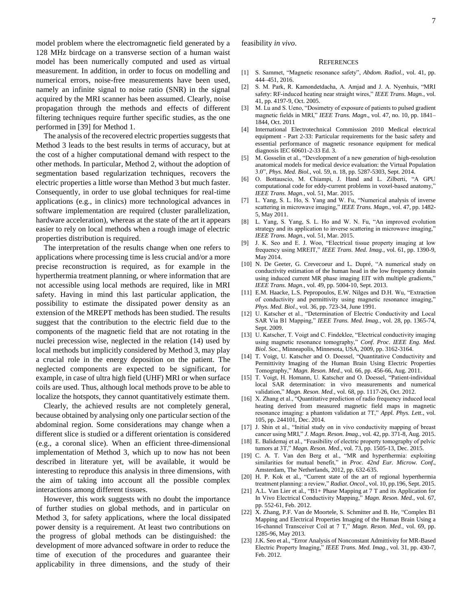model problem where the electromagnetic field generated by a 128 MHz birdcage on a transverse section of a human waist model has been numerically computed and used as virtual measurement. In addition, in order to focus on modelling and numerical errors, noise-free measurements have been used, namely an infinite signal to noise ratio (SNR) in the signal acquired by the MRI scanner has been assumed. Clearly, noise propagation through the methods and effects of different filtering techniques require further specific studies, as the one performed in [39] for Method 1.

The analysis of the recovered electric properties suggests that Method 3 leads to the best results in terms of accuracy, but at the cost of a higher computational demand with respect to the other methods. In particular, Method 2, without the adoption of segmentation based regularization techniques, recovers the electric properties a little worse than Method 3 but much faster. Consequently, in order to use global techniques for real-time applications (e.g., in clinics) more technological advances in software implementation are required (cluster parallelization, hardware acceleration), whereas at the state of the art it appears easier to rely on local methods when a rough image of electric properties distribution is required.

The interpretation of the results change when one refers to applications where processing time is less crucial and/or a more precise reconstruction is required, as for example in the hyperthermia treatment planning, or where information that are not accessible using local methods are required, like in MRI safety. Having in mind this last particular application, the possibility to estimate the dissipated power density as an extension of the MREPT methods has been studied. The results suggest that the contribution to the electric field due to the components of the magnetic field that are not rotating in the nuclei precession wise, neglected in the relation (14) used by local methods but implicitly considered by Method 3, may play a crucial role in the energy deposition on the patient. The neglected components are expected to be significant, for example, in case of ultra high field (UHF) MRI or when surface coils are used. Thus, although local methods prove to be able to localize the hotspots, they cannot quantitatively estimate them.

Clearly, the achieved results are not completely general, because obtained by analysing only one particular section of the abdominal region. Some considerations may change when a different slice is studied or a different orientation is considered (e.g., a coronal slice). When an efficient three-dimensional implementation of Method 3, which up to now has not been described in literature yet, will be available, it would be interesting to reproduce this analysis in three dimensions, with the aim of taking into account all the possible complex interactions among different tissues.

However, this work suggests with no doubt the importance of further studies on global methods, and in particular on Method 3, for safety applications, where the local dissipated power density is a requirement. At least two contributions on the progress of global methods can be distinguished: the development of more advanced software in order to reduce the time of execution of the procedures and guarantee their applicability in three dimensions, and the study of their feasibility *in vivo*.

#### **REFERENCES**

- [1] S. Sammet, "Magnetic resonance safety", *Abdom. Radiol.*, vol. 41, pp. 444–451, 2016.
- [2] S. M. Park, R. Kamondetdacha, A. Amjad and J. A. Nyenhuis, "MRI safety: RF-induced heating near straight wires," *IEEE Trans. Magn.*, vol. 41, pp. 4197-9, Oct. 2005.
- [3] M. Lu and S. Ueno, "Dosimetry of exposure of patients to pulsed gradient magnetic fields in MRI," *IEEE Trans. Magn*., vol. 47, no. 10, pp. 1841– 1844, Oct. 2011
- [4] International Electrotechnical Commission 2010 Medical electrical equipment - Part 2-33: Particular requirements for the basic safety and essential performance of magnetic resonance equipment for medical diagnosis IEC 60601-2-33 Ed. 3.
- [5] M. Gosselin et al., "Development of a new generation of high-resolution anatomical models for medical device evaluation: the Virtual Population 3.0", *Phys. Med. Biol.*, vol. 59, n. 18, pp. 5287-5303, Sept. 2014.
- [6] O. Bottauscio, M. Chiampi, J. Hand and L. Zilberti, "A GPU computational code for eddy-current problems in voxel-based anatomy," *IEEE Trans. Magn.*, vol. 51, Mar. 2015.
- [7] L. Yang, S. L. Ho, S. Yang and W. Fu, "Numerical analysis of inverse scattering in microwave imaging," *IEEE Trans. Magn.*, vol. 47, pp. 1482- 5, May 2011.
- [8] L. Yang, S. Yang, S. L. Ho and W. N. Fu, "An improved evolution strategy and its application to inverse scattering in microwave imaging," *IEEE Trans. Magn.*, vol. 51, Mar. 2015.
- [9] J. K. Seo and E. J. Woo, "Electrical tissue property imaging at low frequency using MREIT," *IEEE Trans. Med. Imag.*, vol. 61, pp. 1390-9, May 2014.
- [10] N. De Geeter, G. Crevecoeur and L. Dupré, "A numerical study on conductivity estimation of the human head in the low frequency domain using induced current MR phase imaging EIT with multiple gradients," *IEEE Trans. Magn.*, vol. 49, pp. 5004-10, Sept. 2013.
- [11] E.M. Haacke, L.S. Pepropoulos, E.W. Nilges and D.H. Wu, "Extraction of conductivity and permittivity using magnetic resonance imaging," *Phys. Med. Biol.*, vol. 36, pp. 723-34, June 1991.
- [12] U. Katscher et al., "Determination of Electric Conductivity and Local SAR Via B1 Mapping," *IEEE Trans. Med. Imag.*, vol. 28, pp. 1365-74, Sept. 2009.
- [13] U. Katscher, T. Voigt and C. Findeklee, "Electrical conductivity imaging using magnetic resonance tomography," *Conf. Proc. IEEE Eng. Med. Biol. Soc.*, Minneapolis, Minnesota, USA, 2009, pp. 3162-3164.
- [14] T. Voigt, U. Katscher and O. Doessel, "Quantitative Conductivity and Permittivity Imaging of the Human Brain Using Electric Properties Tomography," *Magn. Reson. Med.*, vol. 66, pp. 456-66, Aug. 2011.
- [15] T. Voigt, H. Homann, U. Katscher and O. Doessel, "Patient-individual local SAR determination: in vivo measurements and numerical validation," *Magn. Reson. Med.*, vol. 68, pp. 1117-26, Oct. 2012.
- [16] X. Zhang et al., "Quantitative prediction of radio frequency induced local heating derived from measured magnetic field maps in magnetic resonance imaging: a phantom validation at 7T," *Appl. Phys. Lett.*, vol. 105, pp. 244101, Dec. 2014.
- [17] J. Shin et al., "Initial study on in vivo conductivity mapping of breast cancer using MRI," *J. Magn. Reson. Imag.*, vol. 42, pp. 371-8, Aug. 2015.
- [18] E. Balidemaj et al., "Feasibility of electric property tomography of pelvic tumors at 3T," *Magn. Reson. Med.*, vol. 73, pp. 1505-13, Dec. 2015.
- [19] C. A. T. Van den Berg et al., "MR and hyperthermia: exploiting similarities for mutual benefit," in *Proc. 42nd Eur. Microw. Conf.*, Amsterdam, The Netherlands, 2012, pp. 632-635.
- [20] H. P. Kok et al., "Current state of the art of regional hyperthermia treatment planning: a review," *Radiat. Oncol.*, vol. 10, pp.196, Sept. 2015.
- [21] A.L. Van Lier et al., "B1+ Phase Mapping at 7 T and its Application for In Vivo Electrical Conductivity Mapping," *Magn. Reson. Med.*, vol. 67, pp. 552-61, Feb. 2012.
- [22] X. Zhang, P.F. Van de Moortele, S. Schmitter and B. He, "Complex B1 Mapping and Electrical Properties Imaging of the Human Brain Using a 16-channel Transceiver Coil at 7 T," *Magn. Reson. Med.*, vol. 69, pp. 1285-96, May 2013.
- [23] J.K. Seo et al., "Error Analysis of Nonconstant Admittivity for MR-Based Electric Property Imaging," *IEEE Trans. Med. Imag.*, vol. 31, pp. 430-7, Feb. 2012.